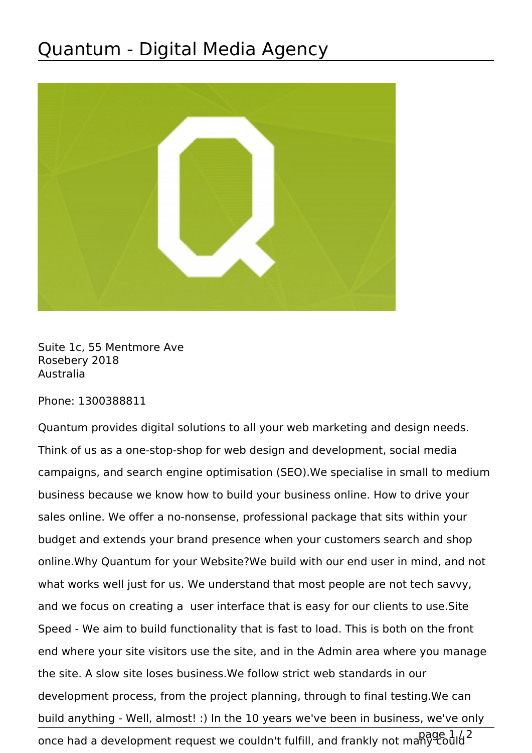## Quantum - Digital Media Agency



Suite 1c, 55 Mentmore Ave Rosebery 2018 Australia

Phone: 1300388811

Quantum provides digital solutions to all your web marketing and design needs. Think of us as a one-stop-shop for web design and development, social media campaigns, and search engine optimisation (SEO).We specialise in small to medium business because we know how to build your business online. How to drive your sales online. We offer a no-nonsense, professional package that sits within your budget and extends your brand presence when your customers search and shop online.Why Quantum for your Website?We build with our end user in mind, and not what works well just for us. We understand that most people are not tech savvy, and we focus on creating a user interface that is easy for our clients to use.Site Speed - We aim to build functionality that is fast to load. This is both on the front end where your site visitors use the site, and in the Admin area where you manage the site. A slow site loses business.We follow strict web standards in our development process, from the project planning, through to final testing.We can build anything - Well, almost! :) In the 10 years we've been in business, we've only once had a development request we couldn't fulfill, and frankly not many could 2